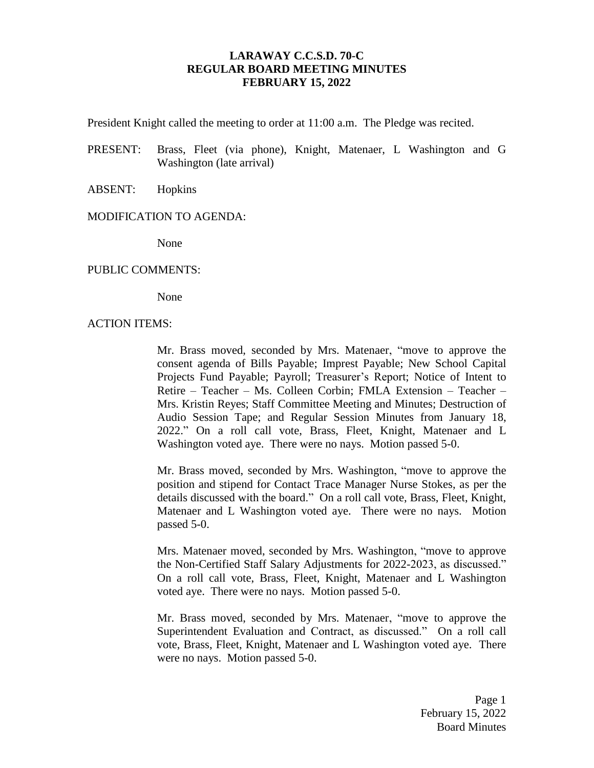## **LARAWAY C.C.S.D. 70-C REGULAR BOARD MEETING MINUTES FEBRUARY 15, 2022**

President Knight called the meeting to order at 11:00 a.m. The Pledge was recited.

- PRESENT: Brass, Fleet (via phone), Knight, Matenaer, L Washington and G Washington (late arrival)
- ABSENT: Hopkins

#### MODIFICATION TO AGENDA:

None

#### PUBLIC COMMENTS:

None

#### ACTION ITEMS:

Mr. Brass moved, seconded by Mrs. Matenaer, "move to approve the consent agenda of Bills Payable; Imprest Payable; New School Capital Projects Fund Payable; Payroll; Treasurer's Report; Notice of Intent to Retire – Teacher – Ms. Colleen Corbin; FMLA Extension – Teacher – Mrs. Kristin Reyes; Staff Committee Meeting and Minutes; Destruction of Audio Session Tape; and Regular Session Minutes from January 18, 2022." On a roll call vote, Brass, Fleet, Knight, Matenaer and L Washington voted aye. There were no nays. Motion passed 5-0.

Mr. Brass moved, seconded by Mrs. Washington, "move to approve the position and stipend for Contact Trace Manager Nurse Stokes, as per the details discussed with the board." On a roll call vote, Brass, Fleet, Knight, Matenaer and L Washington voted aye. There were no nays. Motion passed 5-0.

Mrs. Matenaer moved, seconded by Mrs. Washington, "move to approve the Non-Certified Staff Salary Adjustments for 2022-2023, as discussed." On a roll call vote, Brass, Fleet, Knight, Matenaer and L Washington voted aye. There were no nays. Motion passed 5-0.

Mr. Brass moved, seconded by Mrs. Matenaer, "move to approve the Superintendent Evaluation and Contract, as discussed." On a roll call vote, Brass, Fleet, Knight, Matenaer and L Washington voted aye. There were no nays. Motion passed 5-0.

> Page 1 February 15, 2022 Board Minutes